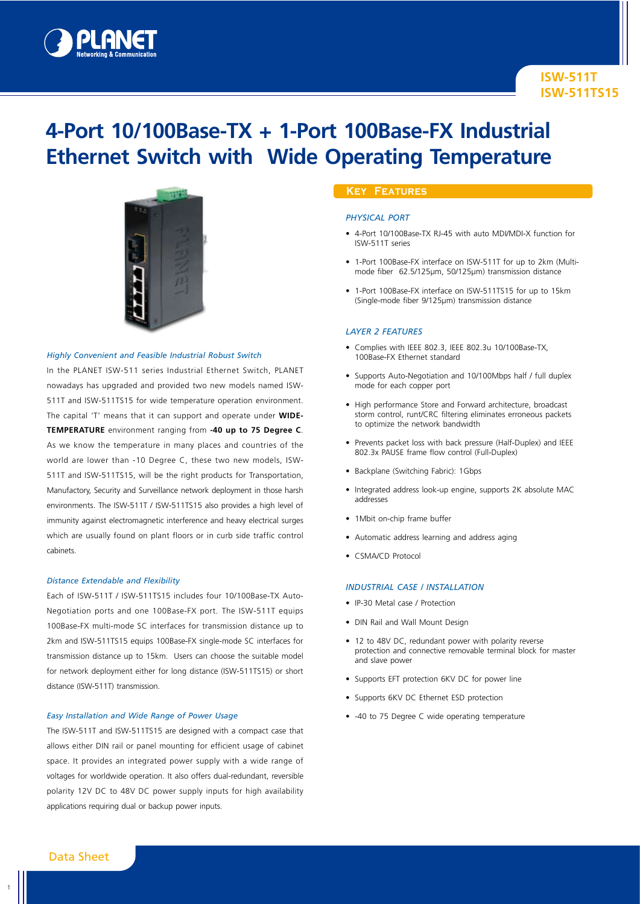

# **4-Port 10/100Base-TX + 1-Port 100Base-FX Industrial Ethernet Switch with Wide Operating Temperature**



#### *Highly Convenient and Feasible Industrial Robust Switch*

In the PLANET ISW-511 series Industrial Ethernet Switch, PLANET nowadays has upgraded and provided two new models named ISW-511T and ISW-511TS15 for wide temperature operation environment. The capital 'T' means that it can support and operate under **WIDE-TEMPERATURE** environment ranging from **-40 up to 75 Degree C**. As we know the temperature in many places and countries of the world are lower than -10 Degree C, these two new models, ISW-511T and ISW-511TS15, will be the right products for Transportation, Manufactory, Security and Surveillance network deployment in those harsh environments. The ISW-511T / ISW-511TS15 also provides a high level of immunity against electromagnetic interference and heavy electrical surges which are usually found on plant floors or in curb side traffic control cabinets.

### *Distance Extendable and Flexibility*

Each of ISW-511T / ISW-511TS15 includes four 10/100Base-TX Auto-Negotiation ports and one 100Base-FX port. The ISW-511T equips 100Base-FX multi-mode SC interfaces for transmission distance up to 2km and ISW-511TS15 equips 100Base-FX single-mode SC interfaces for transmission distance up to 15km. Users can choose the suitable model for network deployment either for long distance (ISW-511TS15) or short distance (ISW-511T) transmission.

#### *Easy Installation and Wide Range of Power Usage*

The ISW-511T and ISW-511TS15 are designed with a compact case that allows either DIN rail or panel mounting for efficient usage of cabinet space. It provides an integrated power supply with a wide range of voltages for worldwide operation. It also offers dual-redundant, reversible polarity 12V DC to 48V DC power supply inputs for high availability applications requiring dual or backup power inputs.

# **Key Features**

## *Physical Port*

- 4-Port 10/100Base-TX RJ-45 with auto MDI/MDI-X function for ISW-511T series
- 1-Port 100Base-FX interface on ISW-511T for up to 2km (Multimode fiber 62.5/125μm, 50/125µm) transmission distance
- 1-Port 100Base-FX interface on ISW-511TS15 for up to 15km (Single-mode fiber 9/125µm) transmission distance

#### *Layer 2 Features*

- Complies with IEEE 802.3, IEEE 802.3u 10/100Base-TX, 100Base-FX Ethernet standard
- Supports Auto-Negotiation and 10/100Mbps half / full duplex mode for each copper port
- High performance Store and Forward architecture, broadcast storm control, runt/CRC filtering eliminates erroneous packets to optimize the network bandwidth
- Prevents packet loss with back pressure (Half-Duplex) and IEEE 802.3x PAUSE frame flow control (Full-Duplex)
- Backplane (Switching Fabric): 1Gbps
- Integrated address look-up engine, supports 2K absolute MAC addresses
- 1Mbit on-chip frame buffer
- Automatic address learning and address aging
- CSMA/CD Protocol

#### *Industrial Case / Installation*

- IP-30 Metal case / Protection
- DIN Rail and Wall Mount Design
- 12 to 48V DC, redundant power with polarity reverse protection and connective removable terminal block for master and slave power
- Supports EFT protection 6KV DC for power line
- Supports 6KV DC Ethernet ESD protection
- -40 to 75 Degree C wide operating temperature

1